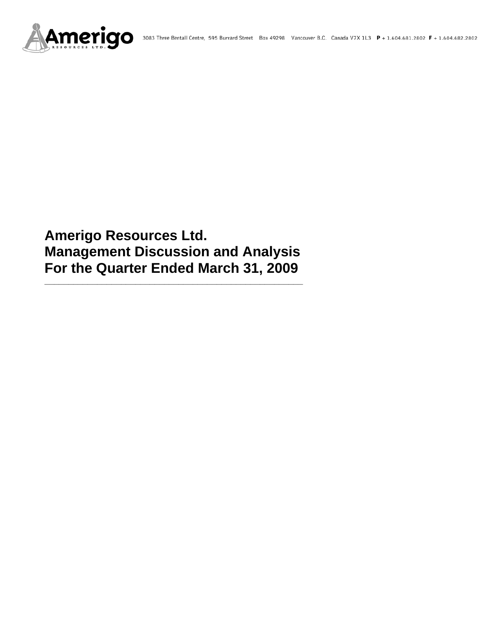

# **Amerigo Resources Ltd. Management Discussion and Analysis For the Quarter Ended March 31, 2009**

**\_\_\_\_\_\_\_\_\_\_\_\_\_\_\_\_\_\_\_\_\_\_\_\_\_\_\_\_\_\_\_\_\_\_\_\_\_\_\_\_\_\_\_\_\_\_\_\_\_\_\_\_\_\_**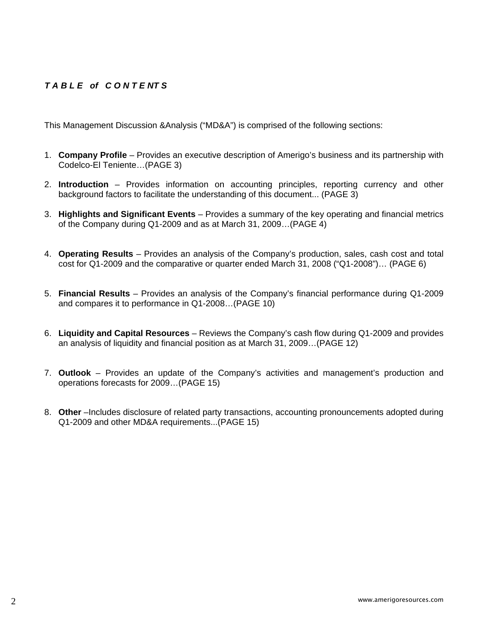# *T A B L E of C O N T E NT S*

This Management Discussion &Analysis ("MD&A") is comprised of the following sections:

- 1. **Company Profile**  Provides an executive description of Amerigo's business and its partnership with Codelco-El Teniente…(PAGE 3)
- 2. **Introduction**  Provides information on accounting principles, reporting currency and other background factors to facilitate the understanding of this document... (PAGE 3)
- 3. **Highlights and Significant Events** Provides a summary of the key operating and financial metrics of the Company during Q1-2009 and as at March 31, 2009…(PAGE 4)
- 4. **Operating Results** Provides an analysis of the Company's production, sales, cash cost and total cost for Q1-2009 and the comparative or quarter ended March 31, 2008 ("Q1-2008")… (PAGE 6)
- 5. **Financial Results** Provides an analysis of the Company's financial performance during Q1-2009 and compares it to performance in Q1-2008…(PAGE 10)
- 6. **Liquidity and Capital Resources** Reviews the Company's cash flow during Q1-2009 and provides an analysis of liquidity and financial position as at March 31, 2009…(PAGE 12)
- 7. **Outlook** Provides an update of the Company's activities and management's production and operations forecasts for 2009…(PAGE 15)
- 8. **Other** –Includes disclosure of related party transactions, accounting pronouncements adopted during Q1-2009 and other MD&A requirements...(PAGE 15)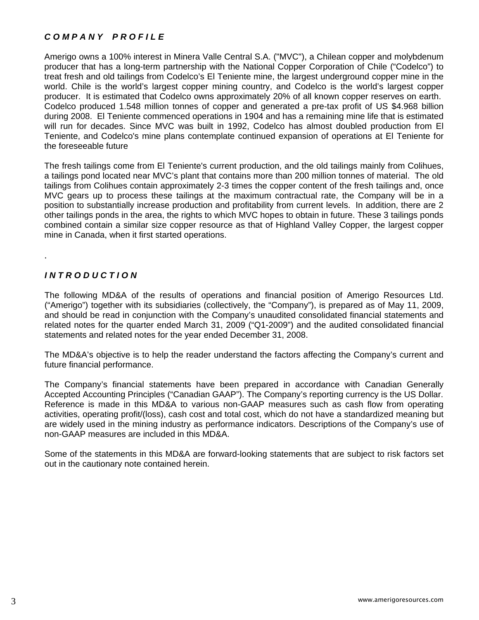# *C O M P A N Y P R O F I L E*

Amerigo owns a 100% interest in Minera Valle Central S.A. ("MVC"), a Chilean copper and molybdenum producer that has a long-term partnership with the National Copper Corporation of Chile ("Codelco") to treat fresh and old tailings from Codelco's El Teniente mine, the largest underground copper mine in the world. Chile is the world's largest copper mining country, and Codelco is the world's largest copper producer. It is estimated that Codelco owns approximately 20% of all known copper reserves on earth. Codelco produced 1.548 million tonnes of copper and generated a pre-tax profit of US \$4.968 billion during 2008. El Teniente commenced operations in 1904 and has a remaining mine life that is estimated will run for decades. Since MVC was built in 1992, Codelco has almost doubled production from El Teniente, and Codelco's mine plans contemplate continued expansion of operations at El Teniente for the foreseeable future

The fresh tailings come from El Teniente's current production, and the old tailings mainly from Colihues, a tailings pond located near MVC's plant that contains more than 200 million tonnes of material. The old tailings from Colihues contain approximately 2-3 times the copper content of the fresh tailings and, once MVC gears up to process these tailings at the maximum contractual rate, the Company will be in a position to substantially increase production and profitability from current levels. In addition, there are 2 other tailings ponds in the area, the rights to which MVC hopes to obtain in future. These 3 tailings ponds combined contain a similar size copper resource as that of Highland Valley Copper, the largest copper mine in Canada, when it first started operations.

# *I N T R O D U C T I O N*

.

The following MD&A of the results of operations and financial position of Amerigo Resources Ltd. ("Amerigo") together with its subsidiaries (collectively, the "Company"), is prepared as of May 11, 2009, and should be read in conjunction with the Company's unaudited consolidated financial statements and related notes for the quarter ended March 31, 2009 ("Q1-2009") and the audited consolidated financial statements and related notes for the year ended December 31, 2008.

The MD&A's objective is to help the reader understand the factors affecting the Company's current and future financial performance.

The Company's financial statements have been prepared in accordance with Canadian Generally Accepted Accounting Principles ("Canadian GAAP"). The Company's reporting currency is the US Dollar. Reference is made in this MD&A to various non-GAAP measures such as cash flow from operating activities, operating profit/(loss), cash cost and total cost, which do not have a standardized meaning but are widely used in the mining industry as performance indicators. Descriptions of the Company's use of non-GAAP measures are included in this MD&A.

Some of the statements in this MD&A are forward-looking statements that are subject to risk factors set out in the cautionary note contained herein.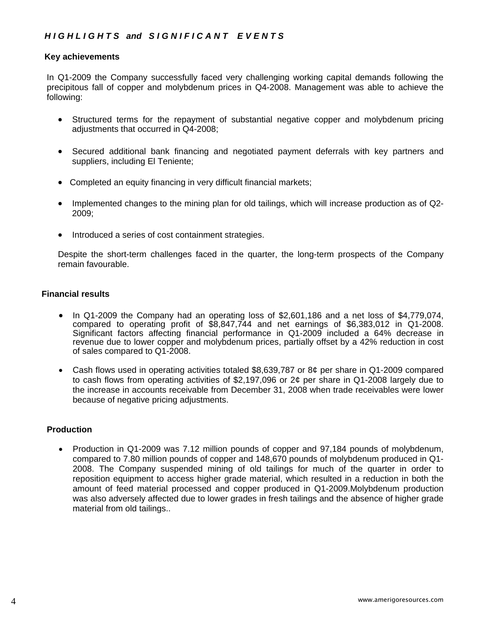# *H I G H L I G H T S and S I G N I F I C A N T E V E N T S*

#### **Key achievements**

In Q1-2009 the Company successfully faced very challenging working capital demands following the precipitous fall of copper and molybdenum prices in Q4-2008. Management was able to achieve the following:

- Structured terms for the repayment of substantial negative copper and molybdenum pricing adjustments that occurred in Q4-2008;
- Secured additional bank financing and negotiated payment deferrals with key partners and suppliers, including El Teniente;
- Completed an equity financing in very difficult financial markets;
- Implemented changes to the mining plan for old tailings, which will increase production as of Q2- 2009;
- Introduced a series of cost containment strategies.

Despite the short-term challenges faced in the quarter, the long-term prospects of the Company remain favourable.

#### **Financial results**

- In Q1-2009 the Company had an operating loss of \$2,601,186 and a net loss of \$4,779,074, compared to operating profit of \$8,847,744 and net earnings of \$6,383,012 in Q1-2008. Significant factors affecting financial performance in Q1-2009 included a 64% decrease in revenue due to lower copper and molybdenum prices, partially offset by a 42% reduction in cost of sales compared to Q1-2008.
- Cash flows used in operating activities totaled \$8,639,787 or 8¢ per share in Q1-2009 compared to cash flows from operating activities of \$2,197,096 or 2¢ per share in Q1-2008 largely due to the increase in accounts receivable from December 31, 2008 when trade receivables were lower because of negative pricing adjustments.

#### **Production**

• Production in Q1-2009 was 7.12 million pounds of copper and 97,184 pounds of molybdenum, compared to 7.80 million pounds of copper and 148,670 pounds of molybdenum produced in Q1- 2008. The Company suspended mining of old tailings for much of the quarter in order to reposition equipment to access higher grade material, which resulted in a reduction in both the amount of feed material processed and copper produced in Q1-2009.Molybdenum production was also adversely affected due to lower grades in fresh tailings and the absence of higher grade material from old tailings..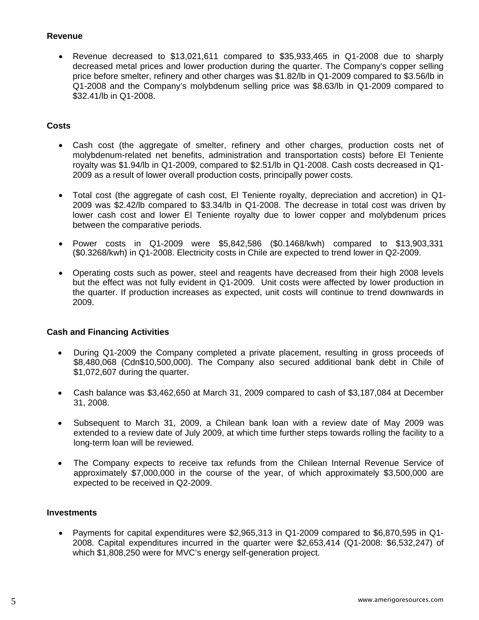## **Revenue**

• Revenue decreased to \$13,021,611 compared to \$35,933,465 in Q1-2008 due to sharply decreased metal prices and lower production during the quarter. The Company's copper selling price before smelter, refinery and other charges was \$1.82/lb in Q1-2009 compared to \$3.56/lb in Q1-2008 and the Company's molybdenum selling price was \$8.63/lb in Q1-2009 compared to \$32.41/lb in Q1-2008.

## **Costs**

- Cash cost (the aggregate of smelter, refinery and other charges, production costs net of molybdenum-related net benefits, administration and transportation costs) before El Teniente royalty was \$1.94/lb in Q1-2009, compared to \$2.51/lb in Q1-2008. Cash costs decreased in Q1- 2009 as a result of lower overall production costs, principally power costs.
- Total cost (the aggregate of cash cost, El Teniente royalty, depreciation and accretion) in Q1- 2009 was \$2.42/lb compared to \$3.34/lb in Q1-2008. The decrease in total cost was driven by lower cash cost and lower El Teniente royalty due to lower copper and molybdenum prices between the comparative periods.
- Power costs in Q1-2009 were \$5,842,586 (\$0.1468/kwh) compared to \$13,903,331 (\$0.3268/kwh) in Q1-2008. Electricity costs in Chile are expected to trend lower in Q2-2009.
- Operating costs such as power, steel and reagents have decreased from their high 2008 levels but the effect was not fully evident in Q1-2009. Unit costs were affected by lower production in the quarter. If production increases as expected, unit costs will continue to trend downwards in 2009.

# **Cash and Financing Activities**

- During Q1-2009 the Company completed a private placement, resulting in gross proceeds of \$8,480,068 (Cdn\$10,500,000). The Company also secured additional bank debt in Chile of \$1,072,607 during the quarter.
- Cash balance was \$3,462,650 at March 31, 2009 compared to cash of \$3,187,084 at December 31, 2008.
- Subsequent to March 31, 2009, a Chilean bank loan with a review date of May 2009 was extended to a review date of July 2009, at which time further steps towards rolling the facility to a long-term loan will be reviewed.
- The Company expects to receive tax refunds from the Chilean Internal Revenue Service of approximately \$7,000,000 in the course of the year, of which approximately \$3,500,000 are expected to be received in Q2-2009.

#### **Investments**

• Payments for capital expenditures were \$2,965,313 in Q1-2009 compared to \$6,870,595 in Q1- 2008. Capital expenditures incurred in the quarter were \$2,653,414 (Q1-2008: \$6,532,247) of which \$1,808,250 were for MVC's energy self-generation project.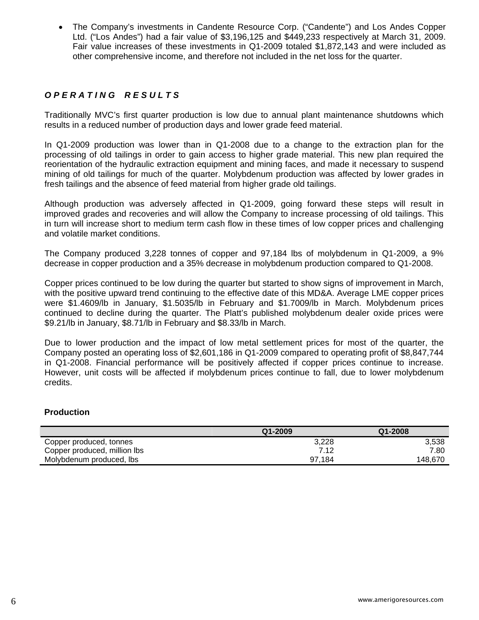• The Company's investments in Candente Resource Corp. ("Candente") and Los Andes Copper Ltd. ("Los Andes") had a fair value of \$3,196,125 and \$449,233 respectively at March 31, 2009. Fair value increases of these investments in Q1-2009 totaled \$1,872,143 and were included as other comprehensive income, and therefore not included in the net loss for the quarter.

# *O P E R A T I N G R E S U L T S*

Traditionally MVC's first quarter production is low due to annual plant maintenance shutdowns which results in a reduced number of production days and lower grade feed material.

In Q1-2009 production was lower than in Q1-2008 due to a change to the extraction plan for the processing of old tailings in order to gain access to higher grade material. This new plan required the reorientation of the hydraulic extraction equipment and mining faces, and made it necessary to suspend mining of old tailings for much of the quarter. Molybdenum production was affected by lower grades in fresh tailings and the absence of feed material from higher grade old tailings.

Although production was adversely affected in Q1-2009, going forward these steps will result in improved grades and recoveries and will allow the Company to increase processing of old tailings. This in turn will increase short to medium term cash flow in these times of low copper prices and challenging and volatile market conditions.

The Company produced 3,228 tonnes of copper and 97,184 lbs of molybdenum in Q1-2009, a 9% decrease in copper production and a 35% decrease in molybdenum production compared to Q1-2008.

Copper prices continued to be low during the quarter but started to show signs of improvement in March, with the positive upward trend continuing to the effective date of this MD&A. Average LME copper prices were \$1.4609/lb in January, \$1.5035/lb in February and \$1.7009/lb in March. Molybdenum prices continued to decline during the quarter. The Platt's published molybdenum dealer oxide prices were \$9.21/lb in January, \$8.71/lb in February and \$8.33/lb in March.

Due to lower production and the impact of low metal settlement prices for most of the quarter, the Company posted an operating loss of \$2,601,186 in Q1-2009 compared to operating profit of \$8,847,744 in Q1-2008. Financial performance will be positively affected if copper prices continue to increase. However, unit costs will be affected if molybdenum prices continue to fall, due to lower molybdenum credits.

#### **Production**

|                              | $Q1 - 2009$ | Q1-2008 |
|------------------------------|-------------|---------|
| Copper produced, tonnes      | 3.228       | 3.538   |
| Copper produced, million lbs | 7.12        | 7.80    |
| Molybdenum produced, lbs     | 97.184      | 148.670 |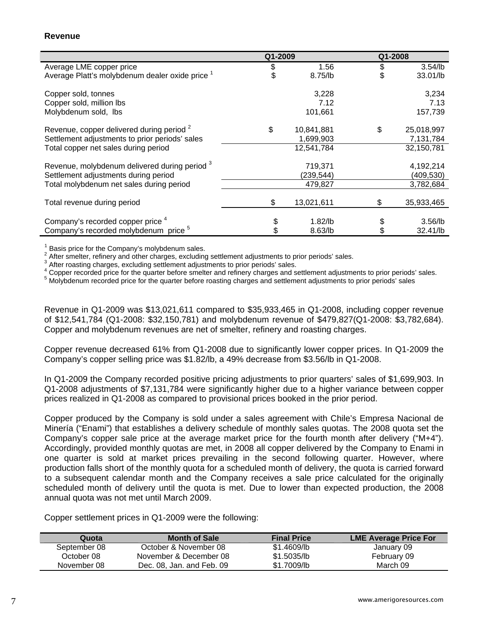#### **Revenue**

|                                                            | Q1-2009 |            | Q1-2008 |            |
|------------------------------------------------------------|---------|------------|---------|------------|
| Average LME copper price                                   | \$      | 1.56       | \$      | $3.54$ /lb |
| Average Platt's molybdenum dealer oxide price <sup>1</sup> |         | 8.75/lb    |         | 33.01/lb   |
| Copper sold, tonnes                                        |         | 3,228      |         | 3,234      |
| Copper sold, million lbs                                   |         | 7.12       |         | 7.13       |
| Molybdenum sold, Ibs                                       |         | 101,661    |         | 157,739    |
| Revenue, copper delivered during period <sup>2</sup>       | \$      | 10,841,881 | \$      | 25,018,997 |
| Settlement adjustments to prior periods' sales             |         | 1,699,903  |         | 7,131,784  |
| Total copper net sales during period                       |         | 12,541,784 |         | 32,150,781 |
| Revenue, molybdenum delivered during period <sup>3</sup>   |         | 719,371    |         | 4,192,214  |
| Settlement adjustments during period                       |         | (239,544)  |         | (409,530)  |
| Total molybdenum net sales during period                   |         | 479,827    |         | 3,782,684  |
| Total revenue during period                                | \$      | 13,021,611 | \$      | 35,933,465 |
|                                                            |         |            |         |            |
| Company's recorded copper price <sup>4</sup>               |         | $1.82$ /lb |         | $3.56$ /lb |
| Company's recorded molybdenum price <sup>5</sup>           |         | 8.63/lb    |         | 32.41/lb   |

<sup>1</sup> Basis price for the Company's molybdenum sales.<br> $2.0$  fter emoltar, refinery and other eberges, evaluating

After smelter, refinery and other charges, excluding settlement adjustments to prior periods' sales.

 $3$  After roasting charges, excluding settlement adjustments to prior periods' sales.

<sup>4</sup> Copper recorded price for the quarter before smelter and refinery charges and settlement adjustments to prior periods' sales.

<sup>5</sup> Molybdenum recorded price for the quarter before roasting charges and settlement adjustments to prior periods' sales

Revenue in Q1-2009 was \$13,021,611 compared to \$35,933,465 in Q1-2008, including copper revenue of \$12,541,784 (Q1-2008: \$32,150,781) and molybdenum revenue of \$479,827(Q1-2008: \$3,782,684). Copper and molybdenum revenues are net of smelter, refinery and roasting charges.

Copper revenue decreased 61% from Q1-2008 due to significantly lower copper prices. In Q1-2009 the Company's copper selling price was \$1.82/lb, a 49% decrease from \$3.56/lb in Q1-2008.

In Q1-2009 the Company recorded positive pricing adjustments to prior quarters' sales of \$1,699,903. In Q1-2008 adjustments of \$7,131,784 were significantly higher due to a higher variance between copper prices realized in Q1-2008 as compared to provisional prices booked in the prior period.

Copper produced by the Company is sold under a sales agreement with Chile's Empresa Nacional de Minería ("Enami") that establishes a delivery schedule of monthly sales quotas. The 2008 quota set the Company's copper sale price at the average market price for the fourth month after delivery ("M+4"). Accordingly, provided monthly quotas are met, in 2008 all copper delivered by the Company to Enami in one quarter is sold at market prices prevailing in the second following quarter. However, where production falls short of the monthly quota for a scheduled month of delivery, the quota is carried forward to a subsequent calendar month and the Company receives a sale price calculated for the originally scheduled month of delivery until the quota is met. Due to lower than expected production, the 2008 annual quota was not met until March 2009.

Copper settlement prices in Q1-2009 were the following:

| Quota        | <b>Month of Sale</b>      | <b>Final Price</b> | LME Average Price For |
|--------------|---------------------------|--------------------|-----------------------|
| September 08 | October & November 08     | \$1.4609/lb        | January 09            |
| October 08   | November & December 08    | \$1,5035/lb        | February 09           |
| November 08  | Dec. 08, Jan. and Feb. 09 | \$1.7009/lb        | March 09              |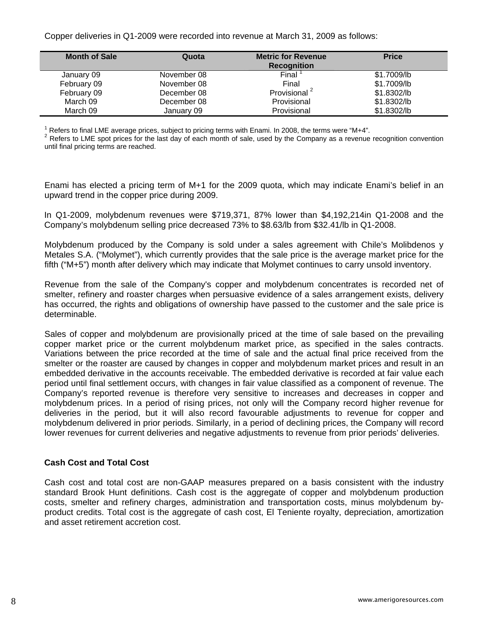Copper deliveries in Q1-2009 were recorded into revenue at March 31, 2009 as follows:

| <b>Month of Sale</b> | Quota       | <b>Metric for Revenue</b><br><b>Recognition</b> | <b>Price</b> |
|----------------------|-------------|-------------------------------------------------|--------------|
| January 09           | November 08 | Final                                           | \$1.7009/lb  |
| February 09          | November 08 | Final                                           | \$1.7009/lb  |
| February 09          | December 08 | Provisional <sup>2</sup>                        | \$1.8302/lb  |
| March 09             | December 08 | Provisional                                     | \$1.8302/lb  |
| March 09             | January 09  | Provisional                                     | \$1.8302/lb  |

<sup>1</sup> Refers to final LME average prices, subject to pricing terms with Enami. In 2008, the terms were "M+4".<br><sup>2</sup> Refers to LME apst prices for the lest day of each meath of sele, used by the Company as a revenue.

<sup>2</sup> Refers to LME spot prices for the last day of each month of sale, used by the Company as a revenue recognition convention until final pricing terms are reached.

Enami has elected a pricing term of M+1 for the 2009 quota, which may indicate Enami's belief in an upward trend in the copper price during 2009.

In Q1-2009, molybdenum revenues were \$719,371, 87% lower than \$4,192,214in Q1-2008 and the Company's molybdenum selling price decreased 73% to \$8.63/lb from \$32.41/lb in Q1-2008.

Molybdenum produced by the Company is sold under a sales agreement with Chile's Molibdenos y Metales S.A. ("Molymet"), which currently provides that the sale price is the average market price for the fifth ("M+5") month after delivery which may indicate that Molymet continues to carry unsold inventory.

Revenue from the sale of the Company's copper and molybdenum concentrates is recorded net of smelter, refinery and roaster charges when persuasive evidence of a sales arrangement exists, delivery has occurred, the rights and obligations of ownership have passed to the customer and the sale price is determinable.

Sales of copper and molybdenum are provisionally priced at the time of sale based on the prevailing copper market price or the current molybdenum market price, as specified in the sales contracts. Variations between the price recorded at the time of sale and the actual final price received from the smelter or the roaster are caused by changes in copper and molybdenum market prices and result in an embedded derivative in the accounts receivable. The embedded derivative is recorded at fair value each period until final settlement occurs, with changes in fair value classified as a component of revenue. The Company's reported revenue is therefore very sensitive to increases and decreases in copper and molybdenum prices. In a period of rising prices, not only will the Company record higher revenue for deliveries in the period, but it will also record favourable adjustments to revenue for copper and molybdenum delivered in prior periods. Similarly, in a period of declining prices, the Company will record lower revenues for current deliveries and negative adjustments to revenue from prior periods' deliveries.

# **Cash Cost and Total Cost**

Cash cost and total cost are non-GAAP measures prepared on a basis consistent with the industry standard Brook Hunt definitions. Cash cost is the aggregate of copper and molybdenum production costs, smelter and refinery charges, administration and transportation costs, minus molybdenum byproduct credits. Total cost is the aggregate of cash cost, El Teniente royalty, depreciation, amortization and asset retirement accretion cost.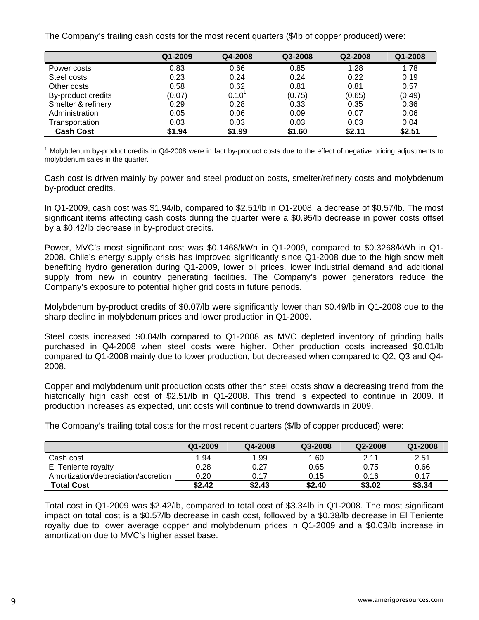The Company's trailing cash costs for the most recent quarters (\$/lb of copper produced) were:

|                    | Q1-2009 | Q4-2008    | Q3-2008 | Q2-2008 | Q1-2008 |
|--------------------|---------|------------|---------|---------|---------|
| Power costs        | 0.83    | 0.66       | 0.85    | 1.28    | 1.78    |
| Steel costs        | 0.23    | 0.24       | 0.24    | 0.22    | 0.19    |
| Other costs        | 0.58    | 0.62       | 0.81    | 0.81    | 0.57    |
| By-product credits | (0.07)  | $0.10^{1}$ | (0.75)  | (0.65)  | (0.49)  |
| Smelter & refinery | 0.29    | 0.28       | 0.33    | 0.35    | 0.36    |
| Administration     | 0.05    | 0.06       | 0.09    | 0.07    | 0.06    |
| Transportation     | 0.03    | 0.03       | 0.03    | 0.03    | 0.04    |
| <b>Cash Cost</b>   | \$1.94  | \$1.99     | \$1.60  | \$2.11  | \$2.51  |

<sup>1</sup> Molybdenum by-product credits in Q4-2008 were in fact by-product costs due to the effect of negative pricing adjustments to molybdenum sales in the quarter.

Cash cost is driven mainly by power and steel production costs, smelter/refinery costs and molybdenum by-product credits.

In Q1-2009, cash cost was \$1.94/lb, compared to \$2.51/lb in Q1-2008, a decrease of \$0.57/lb. The most significant items affecting cash costs during the quarter were a \$0.95/lb decrease in power costs offset by a \$0.42/lb decrease in by-product credits.

Power, MVC's most significant cost was \$0.1468/kWh in Q1-2009, compared to \$0.3268/kWh in Q1- 2008. Chile's energy supply crisis has improved significantly since Q1-2008 due to the high snow melt benefiting hydro generation during Q1-2009, lower oil prices, lower industrial demand and additional supply from new in country generating facilities. The Company's power generators reduce the Company's exposure to potential higher grid costs in future periods.

Molybdenum by-product credits of \$0.07/lb were significantly lower than \$0.49/lb in Q1-2008 due to the sharp decline in molybdenum prices and lower production in Q1-2009.

Steel costs increased \$0.04/lb compared to Q1-2008 as MVC depleted inventory of grinding balls purchased in Q4-2008 when steel costs were higher. Other production costs increased \$0.01/lb compared to Q1-2008 mainly due to lower production, but decreased when compared to Q2, Q3 and Q4- 2008.

Copper and molybdenum unit production costs other than steel costs show a decreasing trend from the historically high cash cost of \$2.51/lb in Q1-2008. This trend is expected to continue in 2009. If production increases as expected, unit costs will continue to trend downwards in 2009.

The Company's trailing total costs for the most recent quarters (\$/lb of copper produced) were:

|                                     | Q1-2009 | Q4-2008 | Q3-2008 | Q2-2008 | Q1-2008 |
|-------------------------------------|---------|---------|---------|---------|---------|
| Cash cost                           | 1.94    | 99. ا   | 1.60    | 2.11    | 2.51    |
| El Teniente royalty                 | 0.28    | 0.27    | 0.65    | 0.75    | 0.66    |
| Amortization/depreciation/accretion | 0.20    | 0.17    | 0.15    | 0.16    | 0.17    |
| <b>Total Cost</b>                   | \$2.42  | \$2.43  | \$2.40  | \$3.02  | \$3.34  |

Total cost in Q1-2009 was \$2.42/lb, compared to total cost of \$3.34lb in Q1-2008. The most significant impact on total cost is a \$0.57/lb decrease in cash cost, followed by a \$0.38/lb decrease in El Teniente royalty due to lower average copper and molybdenum prices in Q1-2009 and a \$0.03/lb increase in amortization due to MVC's higher asset base.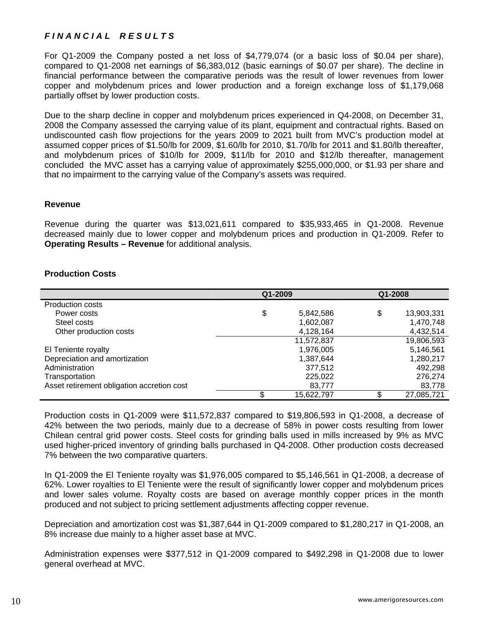# *F I N A N C I A L R E S U L T S*

For Q1-2009 the Company posted a net loss of \$4,779,074 (or a basic loss of \$0.04 per share), compared to Q1-2008 net earnings of \$6,383,012 (basic earnings of \$0.07 per share). The decline in financial performance between the comparative periods was the result of lower revenues from lower copper and molybdenum prices and lower production and a foreign exchange loss of \$1,179,068 partially offset by lower production costs.

Due to the sharp decline in copper and molybdenum prices experienced in Q4-2008, on December 31, 2008 the Company assessed the carrying value of its plant, equipment and contractual rights. Based on undiscounted cash flow projections for the years 2009 to 2021 built from MVC's production model at assumed copper prices of \$1.50/lb for 2009, \$1.60/lb for 2010, \$1.70/lb for 2011 and \$1.80/lb thereafter, and molybdenum prices of \$10/lb for 2009, \$11/lb for 2010 and \$12/lb thereafter, management concluded the MVC asset has a carrying value of approximately \$255,000,000, or \$1.93 per share and that no impairment to the carrying value of the Company's assets was required.

#### **Revenue**

Revenue during the quarter was \$13,021,611 compared to \$35,933,465 in Q1-2008. Revenue decreased mainly due to lower copper and molybdenum prices and production in Q1-2009. Refer to **Operating Results – Revenue** for additional analysis.

# **Production Costs**

|                                            | Q1-2009 |            | Q1-2008          |
|--------------------------------------------|---------|------------|------------------|
| <b>Production costs</b>                    |         |            |                  |
| Power costs                                | \$      | 5,842,586  | \$<br>13,903,331 |
| Steel costs                                |         | 1,602,087  | 1,470,748        |
| Other production costs                     |         | 4,128,164  | 4,432,514        |
|                                            |         | 11,572,837 | 19,806,593       |
| El Teniente royalty                        |         | 1,976,005  | 5,146,561        |
| Depreciation and amortization              |         | 1,387,644  | 1,280,217        |
| Administration                             |         | 377,512    | 492.298          |
| Transportation                             |         | 225,022    | 276,274          |
| Asset retirement obligation accretion cost |         | 83,777     | 83,778           |
|                                            | \$      | 15.622.797 | \$<br>27,085,721 |

Production costs in Q1-2009 were \$11,572,837 compared to \$19,806,593 in Q1-2008, a decrease of 42% between the two periods, mainly due to a decrease of 58% in power costs resulting from lower Chilean central grid power costs. Steel costs for grinding balls used in mills increased by 9% as MVC used higher-priced inventory of grinding balls purchased in Q4-2008. Other production costs decreased 7% between the two comparative quarters.

In Q1-2009 the El Teniente royalty was \$1,976,005 compared to \$5,146,561 in Q1-2008, a decrease of 62%. Lower royalties to El Teniente were the result of significantly lower copper and molybdenum prices and lower sales volume. Royalty costs are based on average monthly copper prices in the month produced and not subject to pricing settlement adjustments affecting copper revenue.

Depreciation and amortization cost was \$1,387,644 in Q1-2009 compared to \$1,280,217 in Q1-2008, an 8% increase due mainly to a higher asset base at MVC.

Administration expenses were \$377,512 in Q1-2009 compared to \$492,298 in Q1-2008 due to lower general overhead at MVC.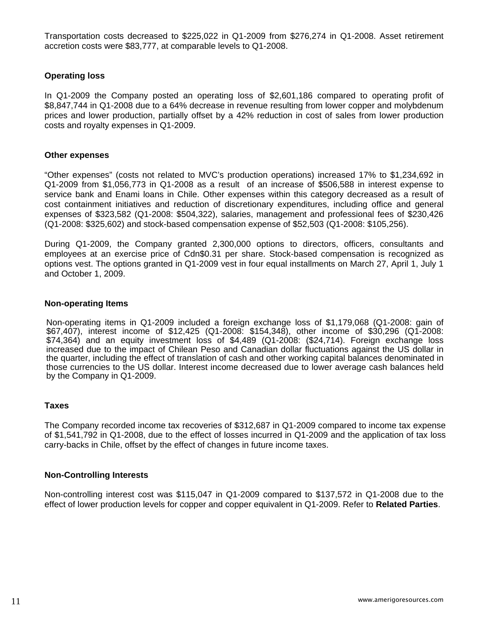Transportation costs decreased to \$225,022 in Q1-2009 from \$276,274 in Q1-2008. Asset retirement accretion costs were \$83,777, at comparable levels to Q1-2008.

## **Operating loss**

In Q1-2009 the Company posted an operating loss of \$2,601,186 compared to operating profit of \$8,847,744 in Q1-2008 due to a 64% decrease in revenue resulting from lower copper and molybdenum prices and lower production, partially offset by a 42% reduction in cost of sales from lower production costs and royalty expenses in Q1-2009.

#### **Other expenses**

"Other expenses" (costs not related to MVC's production operations) increased 17% to \$1,234,692 in Q1-2009 from \$1,056,773 in Q1-2008 as a result of an increase of \$506,588 in interest expense to service bank and Enami loans in Chile. Other expenses within this category decreased as a result of cost containment initiatives and reduction of discretionary expenditures, including office and general expenses of \$323,582 (Q1-2008: \$504,322), salaries, management and professional fees of \$230,426 (Q1-2008: \$325,602) and stock-based compensation expense of \$52,503 (Q1-2008: \$105,256).

During Q1-2009, the Company granted 2,300,000 options to directors, officers, consultants and employees at an exercise price of Cdn\$0.31 per share. Stock-based compensation is recognized as options vest. The options granted in Q1-2009 vest in four equal installments on March 27, April 1, July 1 and October 1, 2009.

#### **Non-operating Items**

Non-operating items in Q1-2009 included a foreign exchange loss of \$1,179,068 (Q1-2008: gain of \$67,407), interest income of \$12,425 (Q1-2008: \$154,348), other income of \$30,296 (Q1-2008: \$74,364) and an equity investment loss of \$4,489 (Q1-2008: (\$24,714). Foreign exchange loss increased due to the impact of Chilean Peso and Canadian dollar fluctuations against the US dollar in the quarter, including the effect of translation of cash and other working capital balances denominated in those currencies to the US dollar. Interest income decreased due to lower average cash balances held by the Company in Q1-2009.

#### **Taxes**

The Company recorded income tax recoveries of \$312,687 in Q1-2009 compared to income tax expense of \$1,541,792 in Q1-2008, due to the effect of losses incurred in Q1-2009 and the application of tax loss carry-backs in Chile, offset by the effect of changes in future income taxes.

#### **Non-Controlling Interests**

Non-controlling interest cost was \$115,047 in Q1-2009 compared to \$137,572 in Q1-2008 due to the effect of lower production levels for copper and copper equivalent in Q1-2009. Refer to **Related Parties**.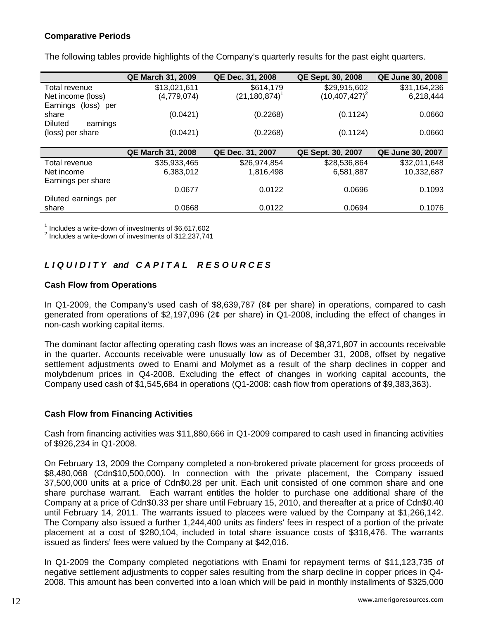# **Comparative Periods**

The following tables provide highlights of the Company's quarterly results for the past eight quarters.

|                            | <b>QE March 31, 2009</b> | QE Dec. 31, 2008   | QE Sept. 30, 2008  | <b>QE June 30, 2008</b> |
|----------------------------|--------------------------|--------------------|--------------------|-------------------------|
| Total revenue              | \$13,021,611             | \$614,179          | \$29,915,602       | \$31,164,236            |
| Net income (loss)          | (4,779,074)              | $(21, 180, 874)^T$ | $(10, 407, 427)^2$ | 6,218,444               |
| Earnings<br>(loss) per     |                          |                    |                    |                         |
| share                      | (0.0421)                 | (0.2268)           | (0.1124)           | 0.0660                  |
| <b>Diluted</b><br>earnings |                          |                    |                    |                         |
| (loss) per share           | (0.0421)                 | (0.2268)           | (0.1124)           | 0.0660                  |
|                            |                          |                    |                    |                         |
|                            | <b>QE March 31, 2008</b> | QE Dec. 31, 2007   | QE Sept. 30, 2007  | <b>QE June 30, 2007</b> |
| Total revenue              | \$35,933,465             | \$26,974,854       | \$28,536,864       | \$32,011,648            |
| Net income                 | 6,383,012                | 1,816,498          | 6,581,887          | 10,332,687              |
| Earnings per share         |                          |                    |                    |                         |
|                            | 0.0677                   | 0.0122             | 0.0696             | 0.1093                  |
| Diluted earnings per       |                          |                    |                    |                         |
| share                      | 0.0668                   | 0.0122             | 0.0694             | 0.1076                  |

<sup>1</sup> Includes a write-down of investments of  $$6,617,602$ <br> $^2$  lackides a write down of investments of  $$12,227,744$ 

 $2$  Includes a write-down of investments of \$12,237,741

# *L I Q U I D I T Y and C A P I T A L R E S O U R C E S*

## **Cash Flow from Operations**

In Q1-2009, the Company's used cash of \$8,639,787 (8¢ per share) in operations, compared to cash generated from operations of \$2,197,096 (2¢ per share) in Q1-2008, including the effect of changes in non-cash working capital items.

The dominant factor affecting operating cash flows was an increase of \$8,371,807 in accounts receivable in the quarter. Accounts receivable were unusually low as of December 31, 2008, offset by negative settlement adjustments owed to Enami and Molymet as a result of the sharp declines in copper and molybdenum prices in Q4-2008. Excluding the effect of changes in working capital accounts, the Company used cash of \$1,545,684 in operations (Q1-2008: cash flow from operations of \$9,383,363).

# **Cash Flow from Financing Activities**

Cash from financing activities was \$11,880,666 in Q1-2009 compared to cash used in financing activities of \$926,234 in Q1-2008.

On February 13, 2009 the Company completed a non-brokered private placement for gross proceeds of \$8,480,068 (Cdn\$10,500,000). In connection with the private placement, the Company issued 37,500,000 units at a price of Cdn\$0.28 per unit. Each unit consisted of one common share and one share purchase warrant. Each warrant entitles the holder to purchase one additional share of the Company at a price of Cdn\$0.33 per share until February 15, 2010, and thereafter at a price of Cdn\$0.40 until February 14, 2011. The warrants issued to placees were valued by the Company at \$1,266,142. The Company also issued a further 1,244,400 units as finders' fees in respect of a portion of the private placement at a cost of \$280,104, included in total share issuance costs of \$318,476. The warrants issued as finders' fees were valued by the Company at \$42,016.

In Q1-2009 the Company completed negotiations with Enami for repayment terms of \$11,123,735 of negative settlement adjustments to copper sales resulting from the sharp decline in copper prices in Q4- 2008. This amount has been converted into a loan which will be paid in monthly installments of \$325,000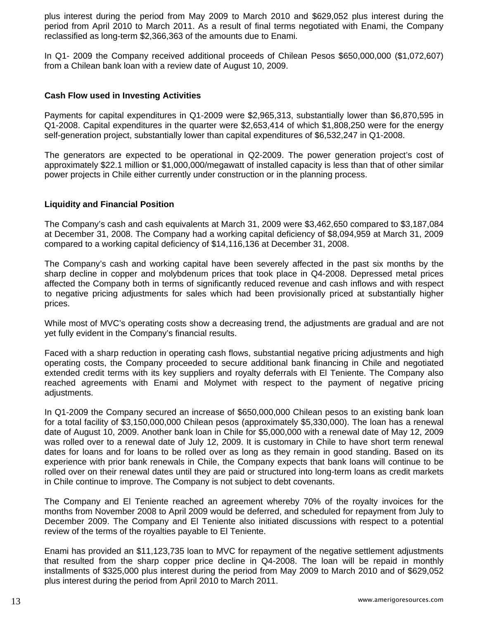plus interest during the period from May 2009 to March 2010 and \$629,052 plus interest during the period from April 2010 to March 2011. As a result of final terms negotiated with Enami, the Company reclassified as long-term \$2,366,363 of the amounts due to Enami.

In Q1- 2009 the Company received additional proceeds of Chilean Pesos \$650,000,000 (\$1,072,607) from a Chilean bank loan with a review date of August 10, 2009.

#### **Cash Flow used in Investing Activities**

Payments for capital expenditures in Q1-2009 were \$2,965,313, substantially lower than \$6,870,595 in Q1-2008. Capital expenditures in the quarter were \$2,653,414 of which \$1,808,250 were for the energy self-generation project, substantially lower than capital expenditures of \$6,532,247 in Q1-2008.

The generators are expected to be operational in Q2-2009. The power generation project's cost of approximately \$22.1 million or \$1,000,000/megawatt of installed capacity is less than that of other similar power projects in Chile either currently under construction or in the planning process.

#### **Liquidity and Financial Position**

The Company's cash and cash equivalents at March 31, 2009 were \$3,462,650 compared to \$3,187,084 at December 31, 2008. The Company had a working capital deficiency of \$8,094,959 at March 31, 2009 compared to a working capital deficiency of \$14,116,136 at December 31, 2008.

The Company's cash and working capital have been severely affected in the past six months by the sharp decline in copper and molybdenum prices that took place in Q4-2008. Depressed metal prices affected the Company both in terms of significantly reduced revenue and cash inflows and with respect to negative pricing adjustments for sales which had been provisionally priced at substantially higher prices.

While most of MVC's operating costs show a decreasing trend, the adjustments are gradual and are not yet fully evident in the Company's financial results.

Faced with a sharp reduction in operating cash flows, substantial negative pricing adjustments and high operating costs, the Company proceeded to secure additional bank financing in Chile and negotiated extended credit terms with its key suppliers and royalty deferrals with El Teniente. The Company also reached agreements with Enami and Molymet with respect to the payment of negative pricing adjustments.

In Q1-2009 the Company secured an increase of \$650,000,000 Chilean pesos to an existing bank loan for a total facility of \$3,150,000,000 Chilean pesos (approximately \$5,330,000). The loan has a renewal date of August 10, 2009. Another bank loan in Chile for \$5,000,000 with a renewal date of May 12, 2009 was rolled over to a renewal date of July 12, 2009. It is customary in Chile to have short term renewal dates for loans and for loans to be rolled over as long as they remain in good standing. Based on its experience with prior bank renewals in Chile, the Company expects that bank loans will continue to be rolled over on their renewal dates until they are paid or structured into long-term loans as credit markets in Chile continue to improve. The Company is not subject to debt covenants.

The Company and El Teniente reached an agreement whereby 70% of the royalty invoices for the months from November 2008 to April 2009 would be deferred, and scheduled for repayment from July to December 2009. The Company and El Teniente also initiated discussions with respect to a potential review of the terms of the royalties payable to El Teniente.

Enami has provided an \$11,123,735 loan to MVC for repayment of the negative settlement adjustments that resulted from the sharp copper price decline in Q4-2008. The loan will be repaid in monthly installments of \$325,000 plus interest during the period from May 2009 to March 2010 and of \$629,052 plus interest during the period from April 2010 to March 2011.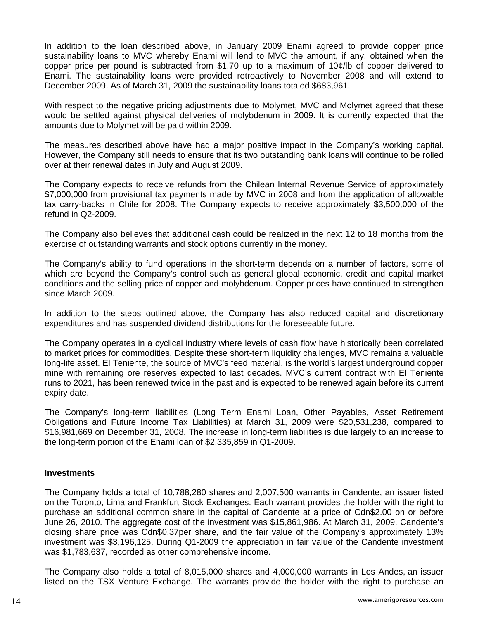In addition to the loan described above, in January 2009 Enami agreed to provide copper price sustainability loans to MVC whereby Enami will lend to MVC the amount, if any, obtained when the copper price per pound is subtracted from \$1.70 up to a maximum of 10¢/lb of copper delivered to Enami. The sustainability loans were provided retroactively to November 2008 and will extend to December 2009. As of March 31, 2009 the sustainability loans totaled \$683,961.

With respect to the negative pricing adjustments due to Molymet, MVC and Molymet agreed that these would be settled against physical deliveries of molybdenum in 2009. It is currently expected that the amounts due to Molymet will be paid within 2009.

The measures described above have had a major positive impact in the Company's working capital. However, the Company still needs to ensure that its two outstanding bank loans will continue to be rolled over at their renewal dates in July and August 2009.

The Company expects to receive refunds from the Chilean Internal Revenue Service of approximately \$7,000,000 from provisional tax payments made by MVC in 2008 and from the application of allowable tax carry-backs in Chile for 2008. The Company expects to receive approximately \$3,500,000 of the refund in Q2-2009.

The Company also believes that additional cash could be realized in the next 12 to 18 months from the exercise of outstanding warrants and stock options currently in the money.

The Company's ability to fund operations in the short-term depends on a number of factors, some of which are beyond the Company's control such as general global economic, credit and capital market conditions and the selling price of copper and molybdenum. Copper prices have continued to strengthen since March 2009.

In addition to the steps outlined above, the Company has also reduced capital and discretionary expenditures and has suspended dividend distributions for the foreseeable future.

The Company operates in a cyclical industry where levels of cash flow have historically been correlated to market prices for commodities. Despite these short-term liquidity challenges, MVC remains a valuable long-life asset. El Teniente, the source of MVC's feed material, is the world's largest underground copper mine with remaining ore reserves expected to last decades. MVC's current contract with El Teniente runs to 2021, has been renewed twice in the past and is expected to be renewed again before its current expiry date.

The Company's long-term liabilities (Long Term Enami Loan, Other Payables, Asset Retirement Obligations and Future Income Tax Liabilities) at March 31, 2009 were \$20,531,238, compared to \$16,981,669 on December 31, 2008. The increase in long-term liabilities is due largely to an increase to the long-term portion of the Enami loan of \$2,335,859 in Q1-2009.

#### **Investments**

The Company holds a total of 10,788,280 shares and 2,007,500 warrants in Candente, an issuer listed on the Toronto, Lima and Frankfurt Stock Exchanges. Each warrant provides the holder with the right to purchase an additional common share in the capital of Candente at a price of Cdn\$2.00 on or before June 26, 2010. The aggregate cost of the investment was \$15,861,986. At March 31, 2009, Candente's closing share price was Cdn\$0.37per share, and the fair value of the Company's approximately 13% investment was \$3,196,125. During Q1-2009 the appreciation in fair value of the Candente investment was \$1,783,637, recorded as other comprehensive income.

The Company also holds a total of 8,015,000 shares and 4,000,000 warrants in Los Andes, an issuer listed on the TSX Venture Exchange. The warrants provide the holder with the right to purchase an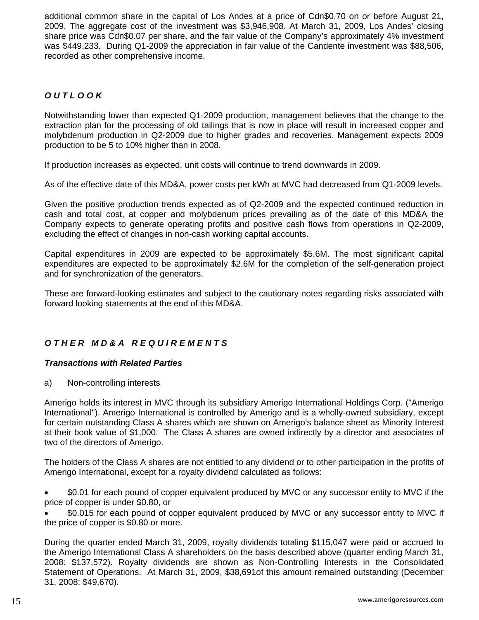additional common share in the capital of Los Andes at a price of Cdn\$0.70 on or before August 21, 2009. The aggregate cost of the investment was \$3,946,908. At March 31, 2009, Los Andes' closing share price was Cdn\$0.07 per share, and the fair value of the Company's approximately 4% investment was \$449,233. During Q1-2009 the appreciation in fair value of the Candente investment was \$88,506, recorded as other comprehensive income.

# *O U T L O O K*

Notwithstanding lower than expected Q1-2009 production, management believes that the change to the extraction plan for the processing of old tailings that is now in place will result in increased copper and molybdenum production in Q2-2009 due to higher grades and recoveries. Management expects 2009 production to be 5 to 10% higher than in 2008.

If production increases as expected, unit costs will continue to trend downwards in 2009.

As of the effective date of this MD&A, power costs per kWh at MVC had decreased from Q1-2009 levels.

Given the positive production trends expected as of Q2-2009 and the expected continued reduction in cash and total cost, at copper and molybdenum prices prevailing as of the date of this MD&A the Company expects to generate operating profits and positive cash flows from operations in Q2-2009, excluding the effect of changes in non-cash working capital accounts.

Capital expenditures in 2009 are expected to be approximately \$5.6M. The most significant capital expenditures are expected to be approximately \$2.6M for the completion of the self-generation project and for synchronization of the generators.

These are forward-looking estimates and subject to the cautionary notes regarding risks associated with forward looking statements at the end of this MD&A.

# *O T H E R M D & A R E Q U I R E M E N T S*

#### *Transactions with Related Parties*

a) Non-controlling interests

Amerigo holds its interest in MVC through its subsidiary Amerigo International Holdings Corp. ("Amerigo International"). Amerigo International is controlled by Amerigo and is a wholly-owned subsidiary, except for certain outstanding Class A shares which are shown on Amerigo's balance sheet as Minority Interest at their book value of \$1,000. The Class A shares are owned indirectly by a director and associates of two of the directors of Amerigo.

The holders of the Class A shares are not entitled to any dividend or to other participation in the profits of Amerigo International, except for a royalty dividend calculated as follows:

• \$0.01 for each pound of copper equivalent produced by MVC or any successor entity to MVC if the price of copper is under \$0.80, or

• \$0.015 for each pound of copper equivalent produced by MVC or any successor entity to MVC if the price of copper is \$0.80 or more.

During the quarter ended March 31, 2009, royalty dividends totaling \$115,047 were paid or accrued to the Amerigo International Class A shareholders on the basis described above (quarter ending March 31, 2008: \$137,572). Royalty dividends are shown as Non-Controlling Interests in the Consolidated Statement of Operations. At March 31, 2009, \$38,691of this amount remained outstanding (December 31, 2008: \$49,670).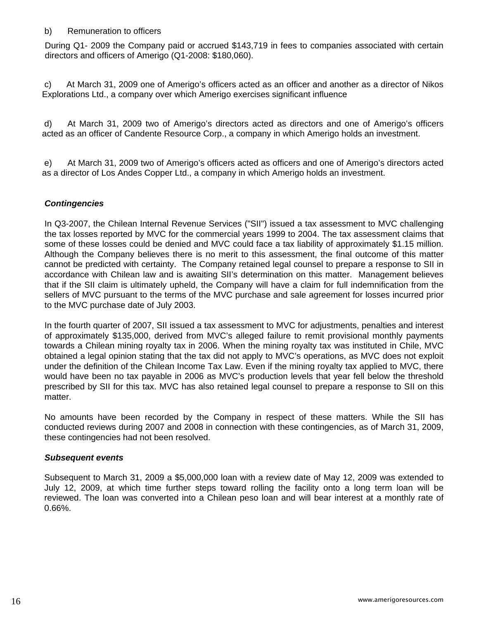## b) Remuneration to officers

During Q1- 2009 the Company paid or accrued \$143,719 in fees to companies associated with certain directors and officers of Amerigo (Q1-2008: \$180,060).

c) At March 31, 2009 one of Amerigo's officers acted as an officer and another as a director of Nikos Explorations Ltd., a company over which Amerigo exercises significant influence

d) At March 31, 2009 two of Amerigo's directors acted as directors and one of Amerigo's officers acted as an officer of Candente Resource Corp., a company in which Amerigo holds an investment.

e) At March 31, 2009 two of Amerigo's officers acted as officers and one of Amerigo's directors acted as a director of Los Andes Copper Ltd., a company in which Amerigo holds an investment.

# *Contingencies*

In Q3-2007, the Chilean Internal Revenue Services ("SII") issued a tax assessment to MVC challenging the tax losses reported by MVC for the commercial years 1999 to 2004. The tax assessment claims that some of these losses could be denied and MVC could face a tax liability of approximately \$1.15 million. Although the Company believes there is no merit to this assessment, the final outcome of this matter cannot be predicted with certainty. The Company retained legal counsel to prepare a response to SII in accordance with Chilean law and is awaiting SII's determination on this matter. Management believes that if the SII claim is ultimately upheld, the Company will have a claim for full indemnification from the sellers of MVC pursuant to the terms of the MVC purchase and sale agreement for losses incurred prior to the MVC purchase date of July 2003.

In the fourth quarter of 2007, SII issued a tax assessment to MVC for adjustments, penalties and interest of approximately \$135,000, derived from MVC's alleged failure to remit provisional monthly payments towards a Chilean mining royalty tax in 2006. When the mining royalty tax was instituted in Chile, MVC obtained a legal opinion stating that the tax did not apply to MVC's operations, as MVC does not exploit under the definition of the Chilean Income Tax Law. Even if the mining royalty tax applied to MVC, there would have been no tax payable in 2006 as MVC's production levels that year fell below the threshold prescribed by SII for this tax. MVC has also retained legal counsel to prepare a response to SII on this matter.

No amounts have been recorded by the Company in respect of these matters. While the SII has conducted reviews during 2007 and 2008 in connection with these contingencies, as of March 31, 2009, these contingencies had not been resolved.

#### *Subsequent events*

Subsequent to March 31, 2009 a \$5,000,000 loan with a review date of May 12, 2009 was extended to July 12, 2009, at which time further steps toward rolling the facility onto a long term loan will be reviewed. The loan was converted into a Chilean peso loan and will bear interest at a monthly rate of 0.66%.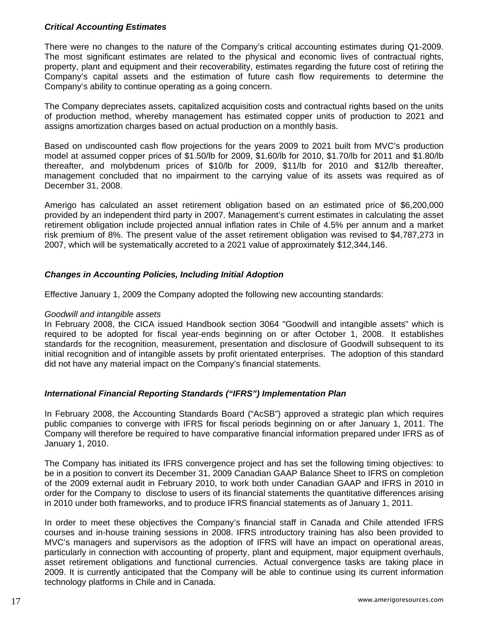# *Critical Accounting Estimates*

There were no changes to the nature of the Company's critical accounting estimates during Q1-2009. The most significant estimates are related to the physical and economic lives of contractual rights, property, plant and equipment and their recoverability, estimates regarding the future cost of retiring the Company's capital assets and the estimation of future cash flow requirements to determine the Company's ability to continue operating as a going concern.

The Company depreciates assets, capitalized acquisition costs and contractual rights based on the units of production method, whereby management has estimated copper units of production to 2021 and assigns amortization charges based on actual production on a monthly basis.

Based on undiscounted cash flow projections for the years 2009 to 2021 built from MVC's production model at assumed copper prices of \$1.50/lb for 2009, \$1.60/lb for 2010, \$1.70/lb for 2011 and \$1.80/lb thereafter, and molybdenum prices of \$10/lb for 2009, \$11/lb for 2010 and \$12/lb thereafter, management concluded that no impairment to the carrying value of its assets was required as of December 31, 2008.

Amerigo has calculated an asset retirement obligation based on an estimated price of \$6,200,000 provided by an independent third party in 2007. Management's current estimates in calculating the asset retirement obligation include projected annual inflation rates in Chile of 4.5% per annum and a market risk premium of 8%. The present value of the asset retirement obligation was revised to \$4,787,273 in 2007, which will be systematically accreted to a 2021 value of approximately \$12,344,146.

# *Changes in Accounting Policies, Including Initial Adoption*

Effective January 1, 2009 the Company adopted the following new accounting standards:

#### *Goodwill and intangible assets*

In February 2008, the CICA issued Handbook section 3064 "Goodwill and intangible assets" which is required to be adopted for fiscal year-ends beginning on or after October 1, 2008. It establishes standards for the recognition, measurement, presentation and disclosure of Goodwill subsequent to its initial recognition and of intangible assets by profit orientated enterprises. The adoption of this standard did not have any material impact on the Company's financial statements.

# *International Financial Reporting Standards ("IFRS") Implementation Plan*

In February 2008, the Accounting Standards Board ("AcSB") approved a strategic plan which requires public companies to converge with IFRS for fiscal periods beginning on or after [January 1, 2011.](javascript:void(0);) The Company will therefore be required to have comparative financial information prepared under IFRS as of [January 1, 2010.](javascript:void(0);)

The Company has initiated its IFRS convergence project and has set the following timing objectives: to be in a position to convert its [December 31, 2009](javascript:void(0);) Canadian GAAP Balance Sheet to IFRS on completion of the 2009 external audit in February 2010, to work both under Canadian GAAP and IFRS in 2010 in order for the Company to disclose to users of its financial statements the quantitative differences arising in 2010 under both frameworks, and to produce IFRS financial statements as of [January 1, 2011](javascript:void(0);).

In order to meet these objectives the Company's financial staff in Canada and Chile attended IFRS courses and in-house training sessions in 2008. IFRS introductory training has also been provided to MVC's managers and supervisors as the adoption of IFRS will have an impact on operational areas, particularly in connection with accounting of property, plant and equipment, major equipment overhauls, asset retirement obligations and functional currencies. Actual convergence tasks are taking place in 2009. It is currently anticipated that the Company will be able to continue using its current information technology platforms in Chile and in Canada.